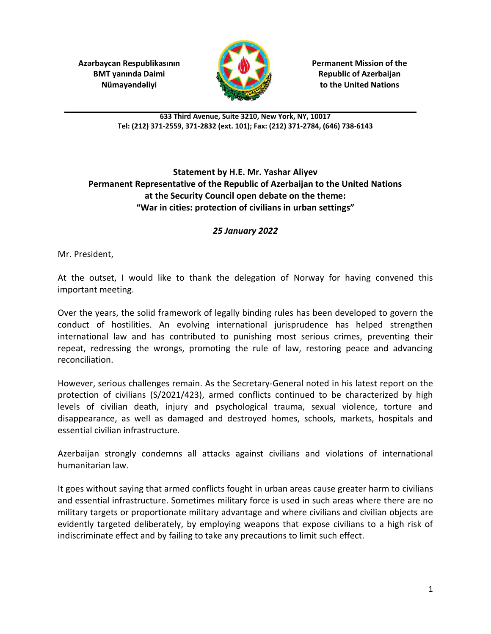**Azərbaycan Respublikasının** *Permanent Mission of the* **<b>Permanent Mission of the** 



**BMT yanında Daimi Republic of Azerbaijan Nümayəndəliyi to the United Nations** 

**633 Third Avenue, Suite 3210, New York, NY, 10017 Tel: (212) 371-2559, 371-2832 (ext. 101); Fax: (212) 371-2784, (646) 738-6143**

## **Statement by H.E. Mr. Yashar Aliyev Permanent Representative of the Republic of Azerbaijan to the United Nations at the Security Council open debate on the theme: "War in cities: protection of civilians in urban settings"**

## *25 January 2022*

Mr. President,

At the outset, I would like to thank the delegation of Norway for having convened this important meeting.

Over the years, the solid framework of legally binding rules has been developed to govern the conduct of hostilities. An evolving international jurisprudence has helped strengthen international law and has contributed to punishing most serious crimes, preventing their repeat, redressing the wrongs, promoting the rule of law, restoring peace and advancing reconciliation.

However, serious challenges remain. As the Secretary-General noted in his latest report on the protection of civilians (S/2021/423), armed conflicts continued to be characterized by high levels of civilian death, injury and psychological trauma, sexual violence, torture and disappearance, as well as damaged and destroyed homes, schools, markets, hospitals and essential civilian infrastructure.

Azerbaijan strongly condemns all attacks against civilians and violations of international humanitarian law.

It goes without saying that armed conflicts fought in urban areas cause greater harm to civilians and essential infrastructure. Sometimes military force is used in such areas where there are no military targets or proportionate military advantage and where civilians and civilian objects are evidently targeted deliberately, by employing weapons that expose civilians to a high risk of indiscriminate effect and by failing to take any precautions to limit such effect.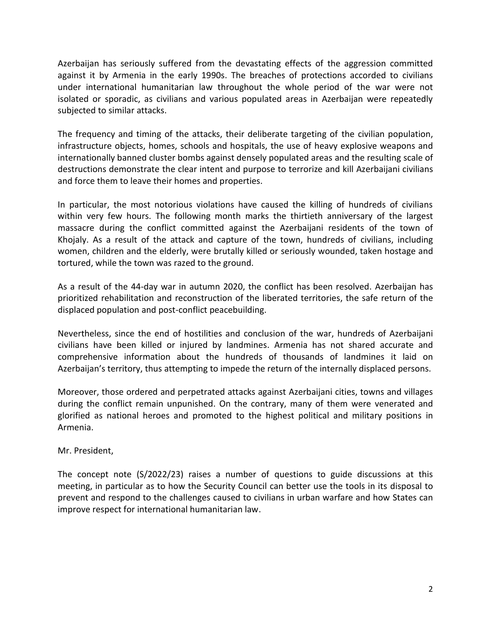Azerbaijan has seriously suffered from the devastating effects of the aggression committed against it by Armenia in the early 1990s. The breaches of protections accorded to civilians under international humanitarian law throughout the whole period of the war were not isolated or sporadic, as civilians and various populated areas in Azerbaijan were repeatedly subjected to similar attacks.

The frequency and timing of the attacks, their deliberate targeting of the civilian population, infrastructure objects, homes, schools and hospitals, the use of heavy explosive weapons and internationally banned cluster bombs against densely populated areas and the resulting scale of destructions demonstrate the clear intent and purpose to terrorize and kill Azerbaijani civilians and force them to leave their homes and properties.

In particular, the most notorious violations have caused the killing of hundreds of civilians within very few hours. The following month marks the thirtieth anniversary of the largest massacre during the conflict committed against the Azerbaijani residents of the town of Khojaly. As a result of the attack and capture of the town, hundreds of civilians, including women, children and the elderly, were brutally killed or seriously wounded, taken hostage and tortured, while the town was razed to the ground.

As a result of the 44-day war in autumn 2020, the conflict has been resolved. Azerbaijan has prioritized rehabilitation and reconstruction of the liberated territories, the safe return of the displaced population and post-conflict peacebuilding.

Nevertheless, since the end of hostilities and conclusion of the war, hundreds of Azerbaijani civilians have been killed or injured by landmines. Armenia has not shared accurate and comprehensive information about the hundreds of thousands of landmines it laid on Azerbaijan's territory, thus attempting to impede the return of the internally displaced persons.

Moreover, those ordered and perpetrated attacks against Azerbaijani cities, towns and villages during the conflict remain unpunished. On the contrary, many of them were venerated and glorified as national heroes and promoted to the highest political and military positions in Armenia.

Mr. President,

The concept note (S/2022/23) raises a number of questions to guide discussions at this meeting, in particular as to how the Security Council can better use the tools in its disposal to prevent and respond to the challenges caused to civilians in urban warfare and how States can improve respect for international humanitarian law.